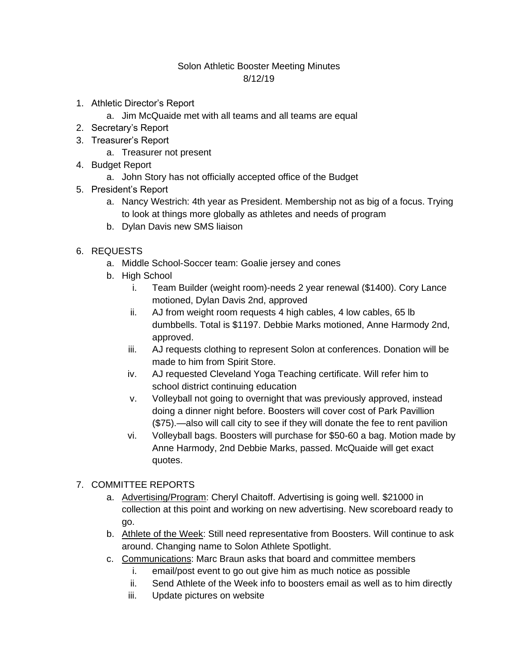## Solon Athletic Booster Meeting Minutes 8/12/19

- 1. Athletic Director's Report
	- a. Jim McQuaide met with all teams and all teams are equal
- 2. Secretary's Report
- 3. Treasurer's Report
	- a. Treasurer not present
- 4. Budget Report
	- a. John Story has not officially accepted office of the Budget
- 5. President's Report
	- a. Nancy Westrich: 4th year as President. Membership not as big of a focus. Trying to look at things more globally as athletes and needs of program
	- b. Dylan Davis new SMS liaison
- 6. REQUESTS
	- a. Middle School-Soccer team: Goalie jersey and cones
	- b. High School
		- i. Team Builder (weight room)-needs 2 year renewal (\$1400). Cory Lance motioned, Dylan Davis 2nd, approved
		- ii. AJ from weight room requests 4 high cables, 4 low cables, 65 lb dumbbells. Total is \$1197. Debbie Marks motioned, Anne Harmody 2nd, approved.
		- iii. AJ requests clothing to represent Solon at conferences. Donation will be made to him from Spirit Store.
		- iv. AJ requested Cleveland Yoga Teaching certificate. Will refer him to school district continuing education
		- v. Volleyball not going to overnight that was previously approved, instead doing a dinner night before. Boosters will cover cost of Park Pavillion (\$75).—also will call city to see if they will donate the fee to rent pavilion
		- vi. Volleyball bags. Boosters will purchase for \$50-60 a bag. Motion made by Anne Harmody, 2nd Debbie Marks, passed. McQuaide will get exact quotes.

## 7. COMMITTEE REPORTS

- a. Advertising/Program: Cheryl Chaitoff. Advertising is going well. \$21000 in collection at this point and working on new advertising. New scoreboard ready to go.
- b. Athlete of the Week: Still need representative from Boosters. Will continue to ask around. Changing name to Solon Athlete Spotlight.
- c. Communications: Marc Braun asks that board and committee members
	- i. email/post event to go out give him as much notice as possible
	- ii. Send Athlete of the Week info to boosters email as well as to him directly
	- iii. Update pictures on website